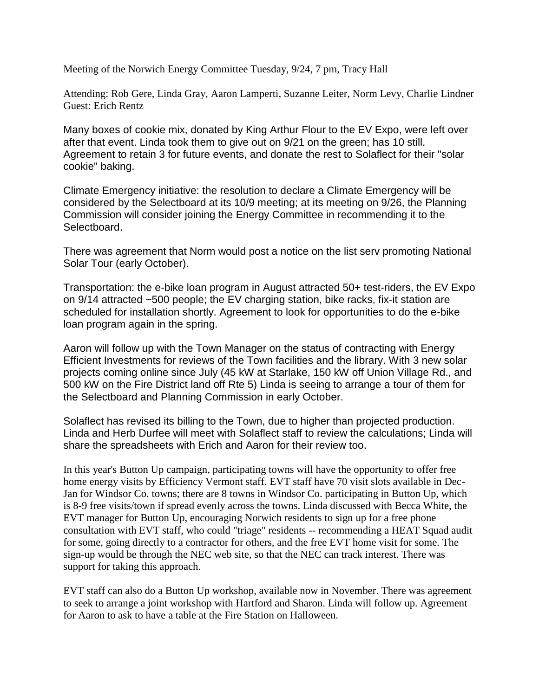Meeting of the Norwich Energy Committee Tuesday, 9/24, 7 pm, Tracy Hall

Attending: Rob Gere, Linda Gray, Aaron Lamperti, Suzanne Leiter, Norm Levy, Charlie Lindner Guest: Erich Rentz

Many boxes of cookie mix, donated by King Arthur Flour to the EV Expo, were left over after that event. Linda took them to give out on 9/21 on the green; has 10 still. Agreement to retain 3 for future events, and donate the rest to Solaflect for their "solar cookie" baking.

Climate Emergency initiative: the resolution to declare a Climate Emergency will be considered by the Selectboard at its 10/9 meeting; at its meeting on 9/26, the Planning Commission will consider joining the Energy Committee in recommending it to the Selectboard.

There was agreement that Norm would post a notice on the list serv promoting National Solar Tour (early October).

Transportation: the e-bike loan program in August attracted 50+ test-riders, the EV Expo on 9/14 attracted ~500 people; the EV charging station, bike racks, fix-it station are scheduled for installation shortly. Agreement to look for opportunities to do the e-bike loan program again in the spring.

Aaron will follow up with the Town Manager on the status of contracting with Energy Efficient Investments for reviews of the Town facilities and the library. With 3 new solar projects coming online since July (45 kW at Starlake, 150 kW off Union Village Rd., and 500 kW on the Fire District land off Rte 5) Linda is seeing to arrange a tour of them for the Selectboard and Planning Commission in early October.

Solaflect has revised its billing to the Town, due to higher than projected production. Linda and Herb Durfee will meet with Solaflect staff to review the calculations; Linda will share the spreadsheets with Erich and Aaron for their review too.

In this year's Button Up campaign, participating towns will have the opportunity to offer free home energy visits by Efficiency Vermont staff. EVT staff have 70 visit slots available in Dec-Jan for Windsor Co. towns; there are 8 towns in Windsor Co. participating in Button Up, which is 8-9 free visits/town if spread evenly across the towns. Linda discussed with Becca White, the EVT manager for Button Up, encouraging Norwich residents to sign up for a free phone consultation with EVT staff, who could "triage" residents -- recommending a HEAT Squad audit for some, going directly to a contractor for others, and the free EVT home visit for some. The sign-up would be through the NEC web site, so that the NEC can track interest. There was support for taking this approach.

EVT staff can also do a Button Up workshop, available now in November. There was agreement to seek to arrange a joint workshop with Hartford and Sharon. Linda will follow up. Agreement for Aaron to ask to have a table at the Fire Station on Halloween.